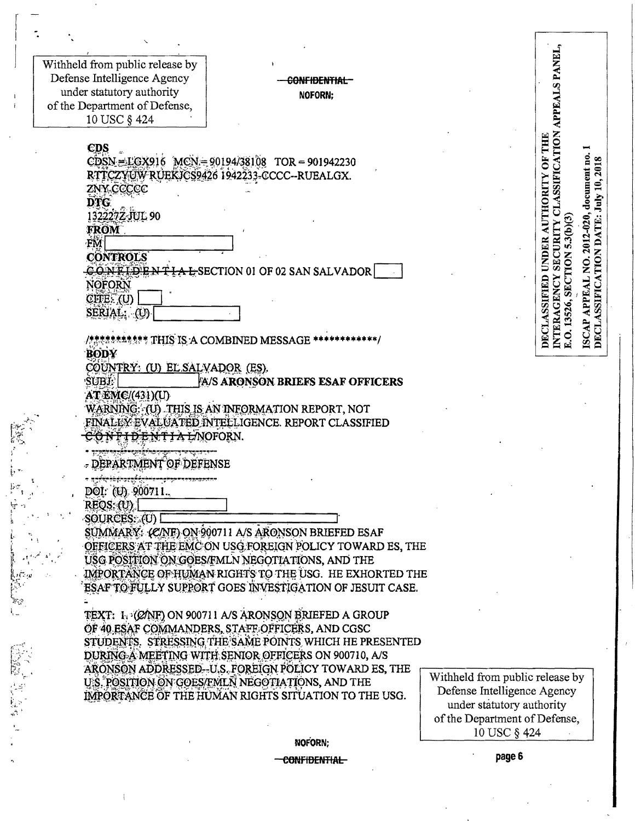Withheld from public release by Defense Intelligence Agency under statutory authority of the Department of Defense, 10 USC § 424

### CONFIDENTIAL NOFORN:

**CDS**  $CDSN = LGX916$  MCN = 90194/38108 TOR = 901942230 RTTCZYUW RUEKICS9426 1942233-CCCC-RUEALGX. ZNY CCCCC DTG. 1322272-JUL 90 **FROM FM CONTROLS** CONFIDENTIAL SECTION 01 OF 02 SAN SALVADOR **NOFORN**  $CITE.$  (U) SERIAL: (U) / \*\*\*\*\*\*\*\*\*\*\*\*\* THIS IS: A COMBINED MESSAGE \*\*

**BODY** 

COUNTRY: (U) EL SALVADOR (ES).

**SUBJ:** A/S ARONSON BRIEFS ESAF OFFICERS **AT EMC/(431)(U)** WARNING: (U) THIS IS AN INFORMATION REPORT, NOT FINALLY EVALUATED INTELLIGENCE. REPORT CLASSIFIED

CONFIDENTIAL/NOFORN.

- DEPARTMENT OF DEFENSE

DOI: (U) 900711.

 $REOS: (U)$ SOURCES: (U)

SUMMARY (C/NF) ON 900711 A/S ARONSON BRIEFED ESAF OFFICERS AT THE EMC ON USG FOREIGN POLICY TOWARD ES, THE USG POSITION ON GOES/FMLN NEGOTIATIONS, AND THE IMPORTANCE OF HUMAN RIGHTS TO THE USG. HE EXHORTED THE ESAF TO FULLY SUPPORT GOES INVESTIGATION OF JESUIT CASE.

TEXT: 1. (CANF) ON 900711 A/S ARONSON BRIEFED A GROUP OF 40 ESAF COMMANDERS, STAFF OFFICERS, AND CGSC STUDENTS. STRESSING THE SAME POINTS WHICH HE PRESENTED DURING A MEETING WITH SENIOR OFFICERS ON 900710, A/S ARONSON ADDRESSED-U.S. FOREIGN POLICY TOWARD ES, THE U.S. POSITION ON GOES/FMLN NEGOTIATIONS, AND THE IMPORTANCE OF THE HUMAN RIGHTS SITUATION TO THE USG.

Withheld from public release by Defense Intelligence Agency under statutory authority of the Department of Defense, 10 USC § 424

**INTERAGENCY SECURITY CLASSIFICATION APPEALS PANEL** 

ISCAP APPEAL NO. 2012-020, document no. 1

E.O. 13526, SECTION 5.3(b)(3)

DECLASSIFICATION DATE: July 10, 2018

**DECLASSIFIED UNDER AUTHORITY OF THE** 

NOFORN:

#### **CONFIDENTIAL**

page 6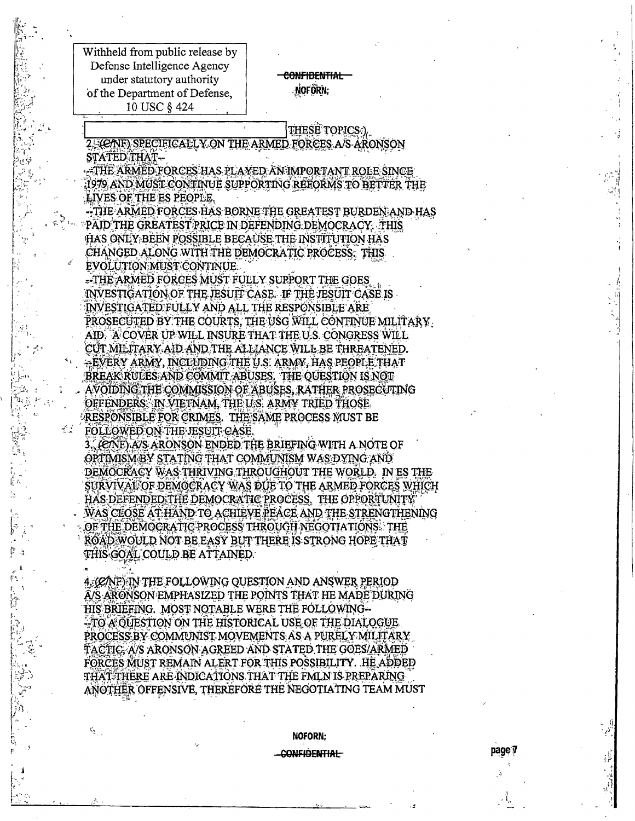Withheld from public release by Defense Intelligence Agency under statutory authority of the Department of Defense, 10 USC § 424

### **CONFIDENTIAL** NOFORN;

THESE TOPICS.) 2. (CANE) SPECIFICALLY ON THE ARMED FORCES A/S ARONSON STATED THAT-

-THE ARMED FORCES HAS PLAYED AN IMPORTANT ROLE SINCE 1979 AND MUST CONTINUE SUPPORTING REFORMS TO BETTER THE LIVES OF THE ES PEOPLE.

-THE ARMED FORCES HAS BORNE THE GREATEST BURDEN AND HAS PAID THE GREATEST PRICE IN DEFENDING DEMOCRACY. THIS HAS ONLY BEEN POSSIBLE BECAUSE THE INSTITUTION HAS CHANGED ALONG WITH THE DEMOCRATIC PROCESS. THIS

EVOLUTION MUST CONTINUE. -THE ARMED FORCES MUST FULLY SUPPORT THE GOES INVESTIGATION OF THE JESUIT CASE. IF THE JESUIT CASE IS INVESTIGATED FULLY AND ALL THE RESPONSIBLE ARE PROSECUTED BY THE COURTS, THE USG WILL CONTINUE MILITARY. AID. A COVER UP WILL INSURE THAT THE U.S. CONGRESS WILL CUT MILITARY AID AND THE ALLIANCE WILL BE THREATENED. -EVERY ARMY, INCLUDING THE U.S. ARMY, HAS PEOPLE THAT BREAK RULES AND COMMIT ABUSES. THE QUESTION IS NOT AVOIDING THE COMMISSION OF ABUSES, RATHER PROSECUTING OFFENDERS IN VIETNAM, THE U.S. ARMY TRIED THOSE RESPONSIBLE FOR CRIMES. THE SAME PROCESS MUST BE FOLLOWED ON THE JESUIT CASE.

3. (CAF) A/S ARONSON ENDED THE BRIEFING WITH A NOTE OF OPTIMISM BY STATING THAT COMMUNISM WAS DYING AND DEMOCRACY WAS THRIVING THROUGHOUT THE WORLD. IN ESTHE SURVIVAL OF DEMOCRACY WAS DUE TO THE ARMED FORCES WHICH HAS DEFENDED THE DEMOCRATIC PROCESS. THE OPPORTUNITY WAS CLOSE AT HAND TO ACHIEVE PEACE AND THE STRENGTHENING OF THE DEMOCRATIC PROCESS THROUGH NEGOTIATIONS. THE ROAD WOULD NOT BE EASY BUT THERE IS STRONG HOPE THAT THIS GOAL COULD BE ATTAINED.

4. (C/NF) IN THE FOLLOWING QUESTION AND ANSWER PERIOD A/S ARONSON EMPHASIZED THE POINTS THAT HE MADE DURING HIS BRIEFING. MOST NOTABLE WERE THE FOLLOWING--TO A OUESTION ON THE HISTORICAL USE OF THE DIALOGUE PROCESS BY COMMUNIST MOVEMENTS AS A PURELY MILITARY TACTIC, A/S ARONSON AGREED AND STATED THE GOES/ARMED FORCES MUST REMAIN ALERT FOR THIS POSSIBILITY. HE ADDED THAT THERE ARE INDICATIONS THAT THE FMLN IS PREPARING ANOTHER OFFENSIVE, THEREFORE THE NEGOTIATING TEAM MUST

# NOFORN:

page 7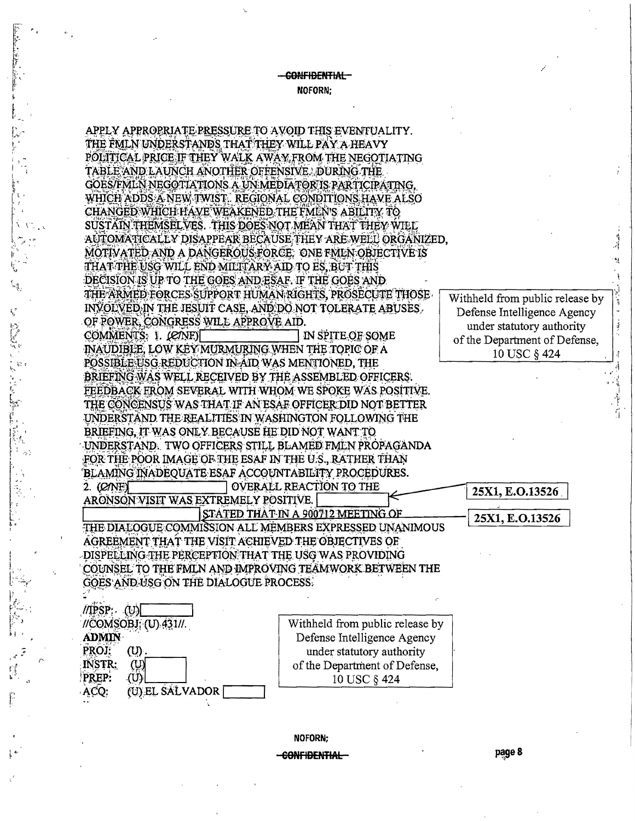### -CONFIDENTIAL-NOFORN:



**NOFORN:** <del>CONFIDENTIAL</del>